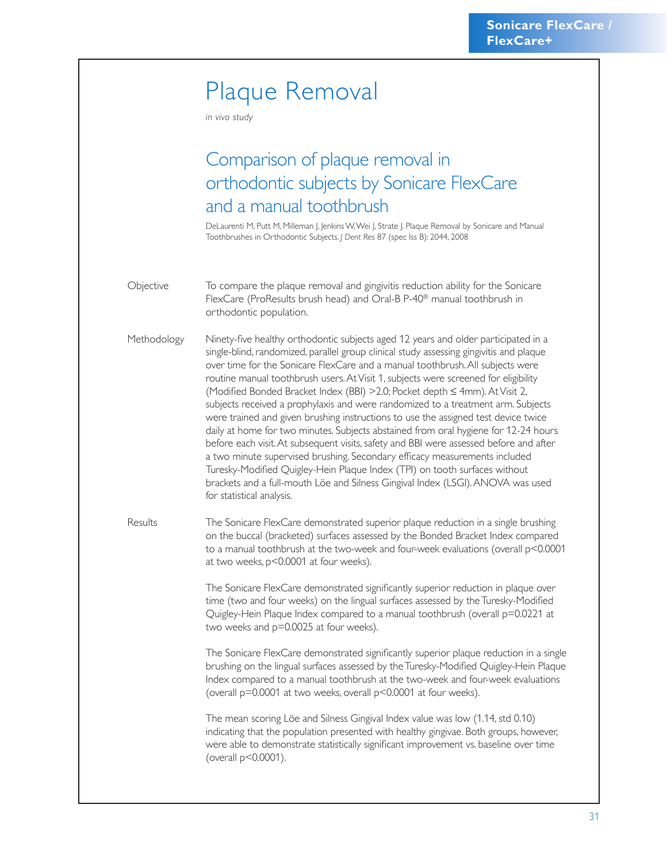## Plaque Removal

*in vivo study*

## Comparison of plaque removal in orthodontic subjects by Sonicare FlexCare and a manual toothbrush

DeLaurenti M, Putt M, Milleman J, Jenkins W, Wei J, Strate J. Plaque Removal by Sonicare and Manual Toothbrushes in Orthodontic Subjects. *J Dent Res* 87 (spec Iss B): 2044, 2008

Objective To compare the plaque removal and gingivitis reduction ability for the Sonicare FlexCare (ProResults brush head) and Oral-B P-40® manual toothbrush in orthodontic population.

Methodology Ninety-five healthy orthodontic subjects aged 12 years and older participated in a single-blind, randomized, parallel group clinical study assessing gingivitis and plaque over time for the Sonicare FlexCare and a manual toothbrush. All subjects were routine manual toothbrush users. At Visit 1, subjects were screened for eligibility (Modified Bonded Bracket Index (BBI) >2.0; Pocket depth ≤ 4mm). At Visit 2, subjects received a prophylaxis and were randomized to a treatment arm. Subjects were trained and given brushing instructions to use the assigned test device twice daily at home for two minutes. Subjects abstained from oral hygiene for 12-24 hours before each visit. At subsequent visits, safety and BBI were assessed before and after a two minute supervised brushing. Secondary efficacy measurements included Turesky-Modified Quigley-Hein Plaque Index (TPI) on tooth surfaces without brackets and a full-mouth Löe and Silness Gingival Index (LSGI). ANOVA was used for statistical analysis.

Results The Sonicare FlexCare demonstrated superior plaque reduction in a single brushing on the buccal (bracketed) surfaces assessed by the Bonded Bracket Index compared to a manual toothbrush at the two-week and four-week evaluations (overall p<0.0001 at two weeks, p<0.0001 at four weeks).

> The Sonicare FlexCare demonstrated significantly superior reduction in plaque over time (two and four weeks) on the lingual surfaces assessed by the Turesky-Modified Quigley-Hein Plaque Index compared to a manual toothbrush (overall p=0.0221 at two weeks and p=0.0025 at four weeks).

The Sonicare FlexCare demonstrated significantly superior plaque reduction in a single brushing on the lingual surfaces assessed by the Turesky-Modified Quigley-Hein Plaque Index compared to a manual toothbrush at the two-week and four-week evaluations (overall p=0.0001 at two weeks, overall p<0.0001 at four weeks).

The mean scoring Löe and Silness Gingival Index value was low (1.14, std 0.10) indicating that the population presented with healthy gingivae. Both groups, however, were able to demonstrate statistically significant improvement vs. baseline over time (overall p<0.0001).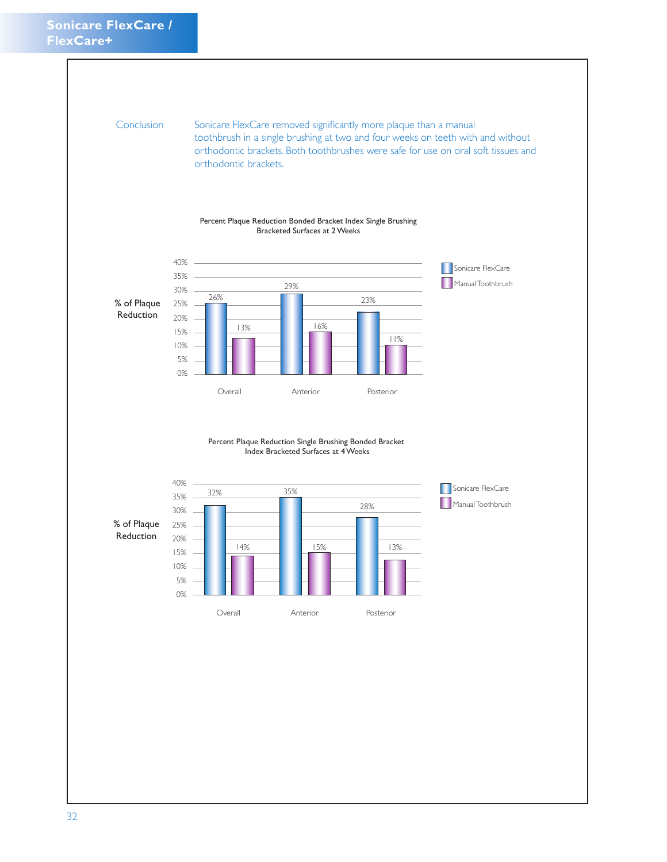Conclusion Sonicare FlexCare removed significantly more plaque than a manual toothbrush in a single brushing at two and four weeks on teeth with and without orthodontic brackets. Both toothbrushes were safe for use on oral soft tissues and orthodontic brackets.





Percent Plaque Reduction Single Brushing Bonded Bracket Index Bracketed Surfaces at 4 Weeks